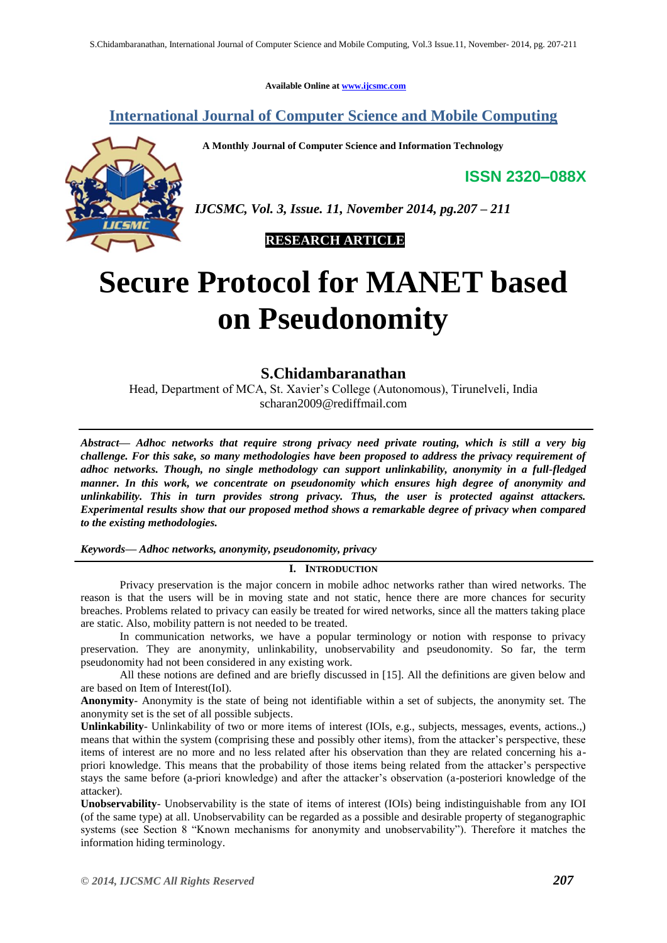**Available Online at [www.ijcsmc.com](http://www.ijcsmc.com/)**

# **International Journal of Computer Science and Mobile Computing**

 **A Monthly Journal of Computer Science and Information Technology**

**ISSN 2320–088X**



*IJCSMC, Vol. 3, Issue. 11, November 2014, pg.207 – 211*

 **RESEARCH ARTICLE**

# **Secure Protocol for MANET based on Pseudonomity**

# **S.Chidambaranathan**

Head, Department of MCA, St. Xavier's College (Autonomous), Tirunelveli, India scharan2009@rediffmail.com

*Abstract— Adhoc networks that require strong privacy need private routing, which is still a very big challenge. For this sake, so many methodologies have been proposed to address the privacy requirement of adhoc networks. Though, no single methodology can support unlinkability, anonymity in a full-fledged manner. In this work, we concentrate on pseudonomity which ensures high degree of anonymity and unlinkability. This in turn provides strong privacy. Thus, the user is protected against attackers. Experimental results show that our proposed method shows a remarkable degree of privacy when compared to the existing methodologies.*

# *Keywords— Adhoc networks, anonymity, pseudonomity, privacy*

# **I. INTRODUCTION**

Privacy preservation is the major concern in mobile adhoc networks rather than wired networks. The reason is that the users will be in moving state and not static, hence there are more chances for security breaches. Problems related to privacy can easily be treated for wired networks, since all the matters taking place are static. Also, mobility pattern is not needed to be treated.

In communication networks, we have a popular terminology or notion with response to privacy preservation. They are anonymity, unlinkability, unobservability and pseudonomity. So far, the term pseudonomity had not been considered in any existing work.

All these notions are defined and are briefly discussed in [15]. All the definitions are given below and are based on Item of Interest(IoI).

**Anonymity**- Anonymity is the state of being not identifiable within a set of subjects, the anonymity set. The anonymity set is the set of all possible subjects.

**Unlinkability**- Unlinkability of two or more items of interest (IOIs, e.g., subjects, messages, events, actions.,) means that within the system (comprising these and possibly other items), from the attacker's perspective, these items of interest are no more and no less related after his observation than they are related concerning his apriori knowledge. This means that the probability of those items being related from the attacker's perspective stays the same before (a-priori knowledge) and after the attacker's observation (a-posteriori knowledge of the attacker).

**Unobservability**- Unobservability is the state of items of interest (IOIs) being indistinguishable from any IOI (of the same type) at all. Unobservability can be regarded as a possible and desirable property of steganographic systems (see Section 8 "Known mechanisms for anonymity and unobservability"). Therefore it matches the information hiding terminology.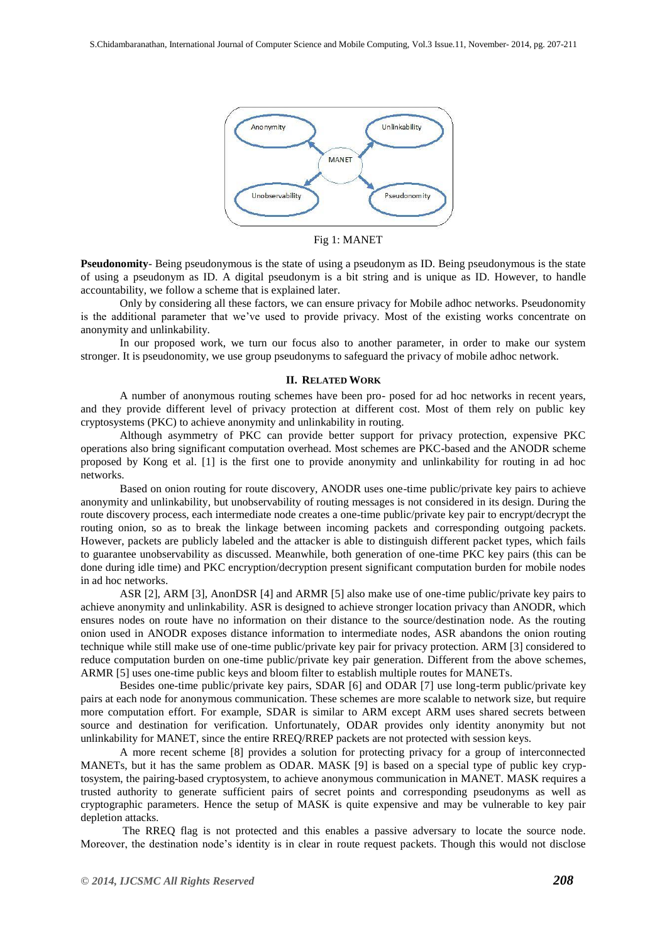

Fig 1: MANET

**Pseudonomity**- Being pseudonymous is the state of using a pseudonym as ID. Being pseudonymous is the state of using a pseudonym as ID. A digital pseudonym is a bit string and is unique as ID. However, to handle accountability, we follow a scheme that is explained later.

Only by considering all these factors, we can ensure privacy for Mobile adhoc networks. Pseudonomity is the additional parameter that we've used to provide privacy. Most of the existing works concentrate on anonymity and unlinkability.

In our proposed work, we turn our focus also to another parameter, in order to make our system stronger. It is pseudonomity, we use group pseudonyms to safeguard the privacy of mobile adhoc network.

#### **II. RELATED WORK**

A number of anonymous routing schemes have been pro- posed for ad hoc networks in recent years, and they provide different level of privacy protection at different cost. Most of them rely on public key cryptosystems (PKC) to achieve anonymity and unlinkability in routing.

Although asymmetry of PKC can provide better support for privacy protection, expensive PKC operations also bring significant computation overhead. Most schemes are PKC-based and the ANODR scheme proposed by Kong et al. [1] is the first one to provide anonymity and unlinkability for routing in ad hoc networks.

Based on onion routing for route discovery, ANODR uses one-time public/private key pairs to achieve anonymity and unlinkability, but unobservability of routing messages is not considered in its design. During the route discovery process, each intermediate node creates a one-time public/private key pair to encrypt/decrypt the routing onion, so as to break the linkage between incoming packets and corresponding outgoing packets. However, packets are publicly labeled and the attacker is able to distinguish different packet types, which fails to guarantee unobservability as discussed. Meanwhile, both generation of one-time PKC key pairs (this can be done during idle time) and PKC encryption/decryption present significant computation burden for mobile nodes in ad hoc networks.

ASR [2], ARM [3], AnonDSR [4] and ARMR [5] also make use of one-time public/private key pairs to achieve anonymity and unlinkability. ASR is designed to achieve stronger location privacy than ANODR, which ensures nodes on route have no information on their distance to the source/destination node. As the routing onion used in ANODR exposes distance information to intermediate nodes, ASR abandons the onion routing technique while still make use of one-time public/private key pair for privacy protection. ARM [3] considered to reduce computation burden on one-time public/private key pair generation. Different from the above schemes, ARMR [5] uses one-time public keys and bloom filter to establish multiple routes for MANETs.

Besides one-time public/private key pairs, SDAR [6] and ODAR [7] use long-term public/private key pairs at each node for anonymous communication. These schemes are more scalable to network size, but require more computation effort. For example, SDAR is similar to ARM except ARM uses shared secrets between source and destination for verification. Unfortunately, ODAR provides only identity anonymity but not unlinkability for MANET, since the entire RREQ/RREP packets are not protected with session keys.

A more recent scheme [8] provides a solution for protecting privacy for a group of interconnected MANETs, but it has the same problem as ODAR. MASK [9] is based on a special type of public key cryptosystem, the pairing-based cryptosystem, to achieve anonymous communication in MANET. MASK requires a trusted authority to generate sufficient pairs of secret points and corresponding pseudonyms as well as cryptographic parameters. Hence the setup of MASK is quite expensive and may be vulnerable to key pair depletion attacks.

The RREQ flag is not protected and this enables a passive adversary to locate the source node. Moreover, the destination node's identity is in clear in route request packets. Though this would not disclose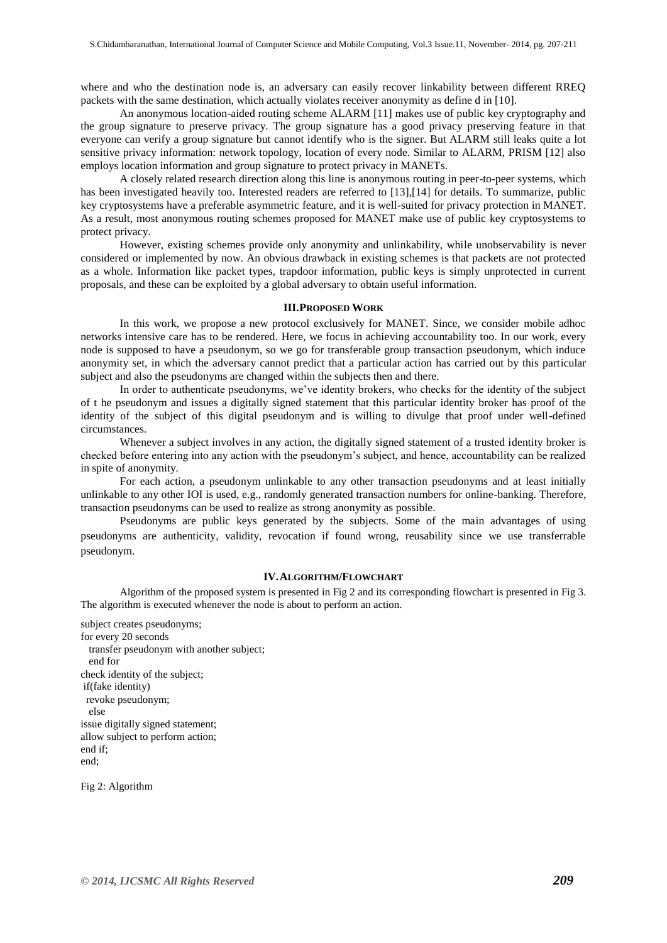where and who the destination node is, an adversary can easily recover linkability between different RREQ packets with the same destination, which actually violates receiver anonymity as define d in [10].

An anonymous location-aided routing scheme ALARM [11] makes use of public key cryptography and the group signature to preserve privacy. The group signature has a good privacy preserving feature in that everyone can verify a group signature but cannot identify who is the signer. But ALARM still leaks quite a lot sensitive privacy information: network topology, location of every node. Similar to ALARM, PRISM [12] also employs location information and group signature to protect privacy in MANETs.

A closely related research direction along this line is anonymous routing in peer-to-peer systems, which has been investigated heavily too. Interested readers are referred to [13],[14] for details. To summarize, public key cryptosystems have a preferable asymmetric feature, and it is well-suited for privacy protection in MANET. As a result, most anonymous routing schemes proposed for MANET make use of public key cryptosystems to protect privacy.

However, existing schemes provide only anonymity and unlinkability, while unobservability is never considered or implemented by now. An obvious drawback in existing schemes is that packets are not protected as a whole. Information like packet types, trapdoor information, public keys is simply unprotected in current proposals, and these can be exploited by a global adversary to obtain useful information.

#### **III.PROPOSED WORK**

In this work, we propose a new protocol exclusively for MANET. Since, we consider mobile adhoc networks intensive care has to be rendered. Here, we focus in achieving accountability too. In our work, every node is supposed to have a pseudonym, so we go for transferable group transaction pseudonym, which induce anonymity set, in which the adversary cannot predict that a particular action has carried out by this particular subject and also the pseudonyms are changed within the subjects then and there.

In order to authenticate pseudonyms, we've identity brokers, who checks for the identity of the subject of t he pseudonym and issues a digitally signed statement that this particular identity broker has proof of the identity of the subject of this digital pseudonym and is willing to divulge that proof under well-defined circumstances.

Whenever a subject involves in any action, the digitally signed statement of a trusted identity broker is checked before entering into any action with the pseudonym's subject, and hence, accountability can be realized in spite of anonymity.

For each action, a pseudonym unlinkable to any other transaction pseudonyms and at least initially unlinkable to any other IOI is used, e.g., randomly generated transaction numbers for online-banking. Therefore, transaction pseudonyms can be used to realize as strong anonymity as possible.

Pseudonyms are public keys generated by the subjects. Some of the main advantages of using pseudonyms are authenticity, validity, revocation if found wrong, reusability since we use transferrable pseudonym.

# **IV.ALGORITHM/FLOWCHART**

Algorithm of the proposed system is presented in Fig 2 and its corresponding flowchart is presented in Fig 3. The algorithm is executed whenever the node is about to perform an action.

subject creates pseudonyms; for every 20 seconds transfer pseudonym with another subject; end for check identity of the subject; if(fake identity) revoke pseudonym; else issue digitally signed statement; allow subject to perform action; end if; end;

Fig 2: Algorithm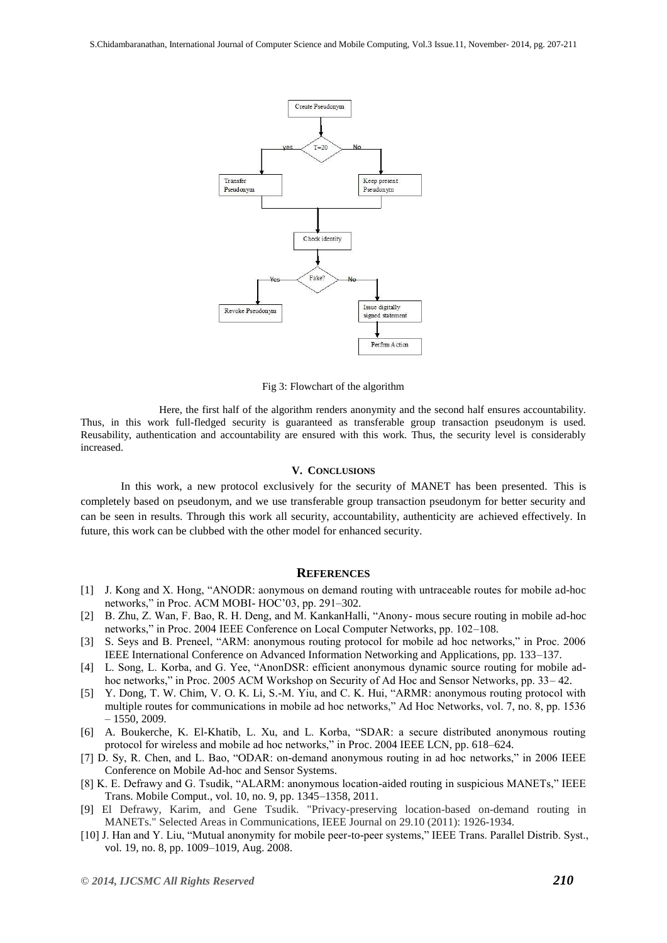

Fig 3: Flowchart of the algorithm

Here, the first half of the algorithm renders anonymity and the second half ensures accountability. Thus, in this work full-fledged security is guaranteed as transferable group transaction pseudonym is used. Reusability, authentication and accountability are ensured with this work. Thus, the security level is considerably increased.

### **V. CONCLUSIONS**

In this work, a new protocol exclusively for the security of MANET has been presented. This is completely based on pseudonym, and we use transferable group transaction pseudonym for better security and can be seen in results. Through this work all security, accountability, authenticity are achieved effectively. In future, this work can be clubbed with the other model for enhanced security.

# **REFERENCES**

- [1] J. Kong and X. Hong, "ANODR: aonymous on demand routing with untraceable routes for mobile ad-hoc networks," in Proc. ACM MOBI- HOC'03, pp. 291–302.
- [2] B. Zhu, Z. Wan, F. Bao, R. H. Deng, and M. KankanHalli, "Anony- mous secure routing in mobile ad-hoc networks," in Proc. 2004 IEEE Conference on Local Computer Networks, pp. 102–108.
- [3] S. Seys and B. Preneel, "ARM: anonymous routing protocol for mobile ad hoc networks," in Proc. 2006 IEEE International Conference on Advanced Information Networking and Applications, pp. 133–137.
- [4] L. Song, L. Korba, and G. Yee, "AnonDSR: efficient anonymous dynamic source routing for mobile adhoc networks," in Proc. 2005 ACM Workshop on Security of Ad Hoc and Sensor Networks, pp. 33– 42.
- [5] Y. Dong, T. W. Chim, V. O. K. Li, S.-M. Yiu, and C. K. Hui, "ARMR: anonymous routing protocol with multiple routes for communications in mobile ad hoc networks," Ad Hoc Networks, vol. 7, no. 8, pp. 1536 – 1550, 2009.
- [6] A. Boukerche, K. El-Khatib, L. Xu, and L. Korba, "SDAR: a secure distributed anonymous routing protocol for wireless and mobile ad hoc networks," in Proc. 2004 IEEE LCN, pp. 618–624.
- [7] D. Sy, R. Chen, and L. Bao, "ODAR: on-demand anonymous routing in ad hoc networks," in 2006 IEEE Conference on Mobile Ad-hoc and Sensor Systems.
- [8] K. E. Defrawy and G. Tsudik, "ALARM: anonymous location-aided routing in suspicious MANETs," IEEE Trans. Mobile Comput., vol. 10, no. 9, pp. 1345–1358, 2011.
- [9] El Defrawy, Karim, and Gene Tsudik. "Privacy-preserving location-based on-demand routing in MANETs." Selected Areas in Communications, IEEE Journal on 29.10 (2011): 1926-1934.
- [10] J. Han and Y. Liu, "Mutual anonymity for mobile peer-to-peer systems," IEEE Trans. Parallel Distrib. Syst., vol. 19, no. 8, pp. 1009–1019, Aug. 2008.